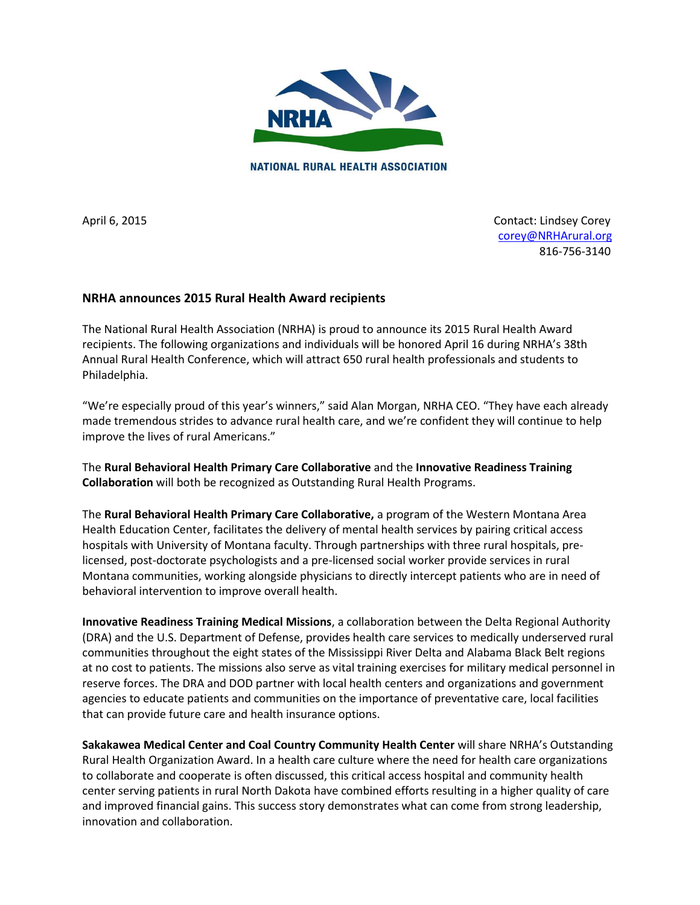

**NATIONAL RURAL HEALTH ASSOCIATION** 

April 6, 2015 **Contact: Lindsey Corey**  [corey@NRHArural.org](mailto:corey@NRHArural.org) 816-756-3140

## **NRHA announces 2015 Rural Health Award recipients**

The National Rural Health Association (NRHA) is proud to announce its 2015 Rural Health Award recipients. The following organizations and individuals will be honored April 16 during NRHA's 38th Annual Rural Health Conference, which will attract 650 rural health professionals and students to Philadelphia.

"We're especially proud of this year's winners," said Alan Morgan, NRHA CEO. "They have each already made tremendous strides to advance rural health care, and we're confident they will continue to help improve the lives of rural Americans."

The **Rural Behavioral Health Primary Care Collaborative** and the **Innovative Readiness Training Collaboration** will both be recognized as Outstanding Rural Health Programs.

The **Rural Behavioral Health Primary Care Collaborative,** a program of the Western Montana Area Health Education Center, facilitates the delivery of mental health services by pairing critical access hospitals with University of Montana faculty. Through partnerships with three rural hospitals, prelicensed, post-doctorate psychologists and a pre-licensed social worker provide services in rural Montana communities, working alongside physicians to directly intercept patients who are in need of behavioral intervention to improve overall health.

**Innovative Readiness Training Medical Missions**, a collaboration between the Delta Regional Authority (DRA) and the U.S. Department of Defense, provides health care services to medically underserved rural communities throughout the eight states of the Mississippi River Delta and Alabama Black Belt regions at no cost to patients. The missions also serve as vital training exercises for military medical personnel in reserve forces. The DRA and DOD partner with local health centers and organizations and government agencies to educate patients and communities on the importance of preventative care, local facilities that can provide future care and health insurance options.

**Sakakawea Medical Center and Coal Country Community Health Center** will share NRHA's Outstanding Rural Health Organization Award. In a health care culture where the need for health care organizations to collaborate and cooperate is often discussed, this critical access hospital and community health center serving patients in rural North Dakota have combined efforts resulting in a higher quality of care and improved financial gains. This success story demonstrates what can come from strong leadership, innovation and collaboration.